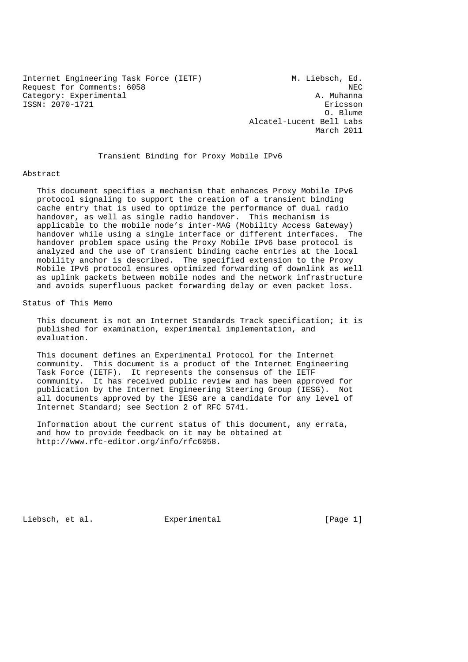Internet Engineering Task Force (IETF) M. Liebsch, Ed. Request for Comments: 6058<br>Category: Experimental and Category: Experimental Category: Experimental ISSN: 2070-1721 Ericsson

 O. Blume Alcatel-Lucent Bell Labs March 2011

Transient Binding for Proxy Mobile IPv6

#### Abstract

 This document specifies a mechanism that enhances Proxy Mobile IPv6 protocol signaling to support the creation of a transient binding cache entry that is used to optimize the performance of dual radio handover, as well as single radio handover. This mechanism is applicable to the mobile node's inter-MAG (Mobility Access Gateway) handover while using a single interface or different interfaces. The handover problem space using the Proxy Mobile IPv6 base protocol is analyzed and the use of transient binding cache entries at the local mobility anchor is described. The specified extension to the Proxy Mobile IPv6 protocol ensures optimized forwarding of downlink as well as uplink packets between mobile nodes and the network infrastructure and avoids superfluous packet forwarding delay or even packet loss.

# Status of This Memo

 This document is not an Internet Standards Track specification; it is published for examination, experimental implementation, and evaluation.

 This document defines an Experimental Protocol for the Internet community. This document is a product of the Internet Engineering Task Force (IETF). It represents the consensus of the IETF community. It has received public review and has been approved for publication by the Internet Engineering Steering Group (IESG). Not all documents approved by the IESG are a candidate for any level of Internet Standard; see Section 2 of RFC 5741.

 Information about the current status of this document, any errata, and how to provide feedback on it may be obtained at http://www.rfc-editor.org/info/rfc6058.

Liebsch, et al. Experimental [Page 1]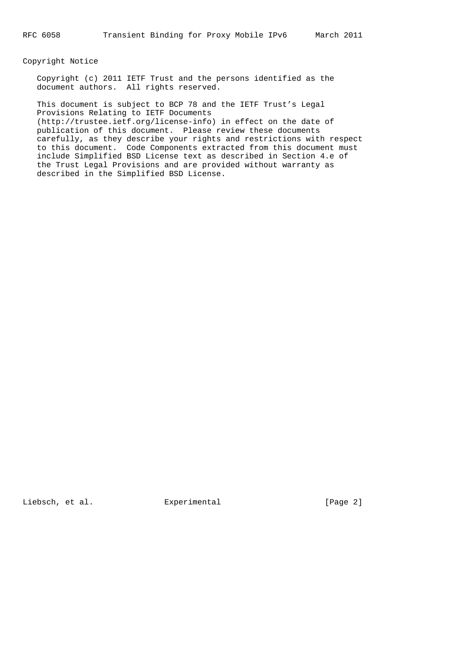## Copyright Notice

 Copyright (c) 2011 IETF Trust and the persons identified as the document authors. All rights reserved.

 This document is subject to BCP 78 and the IETF Trust's Legal Provisions Relating to IETF Documents (http://trustee.ietf.org/license-info) in effect on the date of publication of this document. Please review these documents carefully, as they describe your rights and restrictions with respect to this document. Code Components extracted from this document must include Simplified BSD License text as described in Section 4.e of the Trust Legal Provisions and are provided without warranty as described in the Simplified BSD License.

Liebsch, et al. Experimental [Page 2]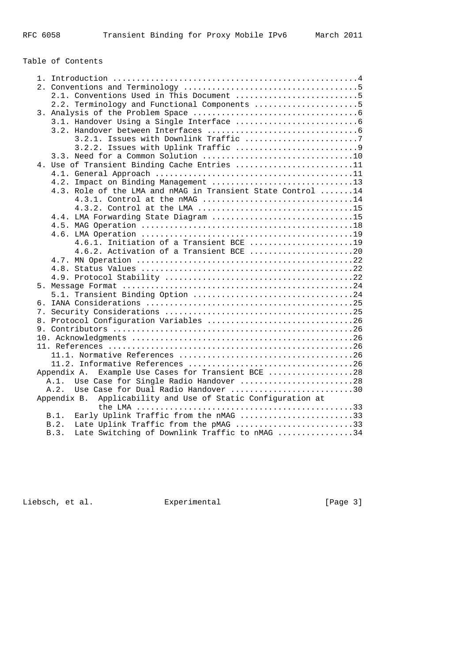# Table of Contents

|             | 2.1. Conventions Used in This Document 5                                                      |
|-------------|-----------------------------------------------------------------------------------------------|
|             | 2.2. Terminology and Functional Components 5                                                  |
|             |                                                                                               |
|             |                                                                                               |
|             |                                                                                               |
|             | 3.2.1. Issues with Downlink Traffic 7                                                         |
|             |                                                                                               |
|             |                                                                                               |
|             | 4. Use of Transient Binding Cache Entries 11                                                  |
|             |                                                                                               |
|             | 4.2. Impact on Binding Management 13                                                          |
|             | 4.3. Role of the LMA and nMAG in Transient State Control 14                                   |
|             | 4.3.1. Control at the nMAG 14                                                                 |
|             | 4.3.2. Control at the LMA 15                                                                  |
|             | 4.4. LMA Forwarding State Diagram 15                                                          |
|             |                                                                                               |
|             |                                                                                               |
|             | 4.6.1. Initiation of a Transient BCE 19                                                       |
|             | 4.6.2. Activation of a Transient BCE 20                                                       |
|             |                                                                                               |
|             |                                                                                               |
|             |                                                                                               |
|             |                                                                                               |
|             |                                                                                               |
|             |                                                                                               |
|             |                                                                                               |
|             | 8. Protocol Configuration Variables 26                                                        |
|             | 9. Contributors $\dots\dots\dots\dots\dots\dots\dots\dots\dots\dots\dots\dots\dots\dots\dots$ |
|             |                                                                                               |
|             |                                                                                               |
|             |                                                                                               |
|             |                                                                                               |
| Appendix A. | Example Use Cases for Transient BCE 28                                                        |
| A.1.        | Use Case for Single Radio Handover 28                                                         |
| A.2.        | Use Case for Dual Radio Handover 30                                                           |
| Appendix B. | Applicability and Use of Static Configuration at                                              |
|             |                                                                                               |
| B.1.        | Early Uplink Traffic from the nMAG 33                                                         |
| B.2.        | Late Uplink Traffic from the pMAG 33                                                          |
| B.3.        | Late Switching of Downlink Traffic to nMAG 34                                                 |
|             |                                                                                               |

Liebsch, et al. Experimental [Page 3]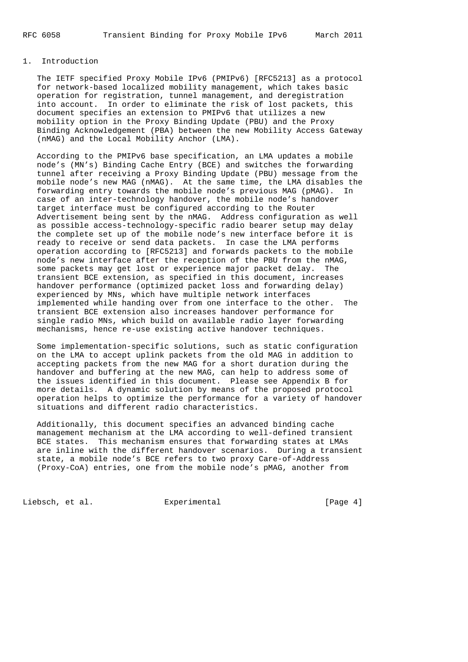# 1. Introduction

 The IETF specified Proxy Mobile IPv6 (PMIPv6) [RFC5213] as a protocol for network-based localized mobility management, which takes basic operation for registration, tunnel management, and deregistration into account. In order to eliminate the risk of lost packets, this document specifies an extension to PMIPv6 that utilizes a new mobility option in the Proxy Binding Update (PBU) and the Proxy Binding Acknowledgement (PBA) between the new Mobility Access Gateway (nMAG) and the Local Mobility Anchor (LMA).

 According to the PMIPv6 base specification, an LMA updates a mobile node's (MN's) Binding Cache Entry (BCE) and switches the forwarding tunnel after receiving a Proxy Binding Update (PBU) message from the mobile node's new MAG (nMAG). At the same time, the LMA disables the forwarding entry towards the mobile node's previous MAG (pMAG). In case of an inter-technology handover, the mobile node's handover target interface must be configured according to the Router Advertisement being sent by the nMAG. Address configuration as well as possible access-technology-specific radio bearer setup may delay the complete set up of the mobile node's new interface before it is ready to receive or send data packets. In case the LMA performs operation according to [RFC5213] and forwards packets to the mobile node's new interface after the reception of the PBU from the nMAG, some packets may get lost or experience major packet delay. The transient BCE extension, as specified in this document, increases handover performance (optimized packet loss and forwarding delay) experienced by MNs, which have multiple network interfaces implemented while handing over from one interface to the other. The transient BCE extension also increases handover performance for single radio MNs, which build on available radio layer forwarding mechanisms, hence re-use existing active handover techniques.

 Some implementation-specific solutions, such as static configuration on the LMA to accept uplink packets from the old MAG in addition to accepting packets from the new MAG for a short duration during the handover and buffering at the new MAG, can help to address some of the issues identified in this document. Please see Appendix B for more details. A dynamic solution by means of the proposed protocol operation helps to optimize the performance for a variety of handover situations and different radio characteristics.

 Additionally, this document specifies an advanced binding cache management mechanism at the LMA according to well-defined transient BCE states. This mechanism ensures that forwarding states at LMAs are inline with the different handover scenarios. During a transient state, a mobile node's BCE refers to two proxy Care-of-Address (Proxy-CoA) entries, one from the mobile node's pMAG, another from

Liebsch, et al. Experimental [Page 4]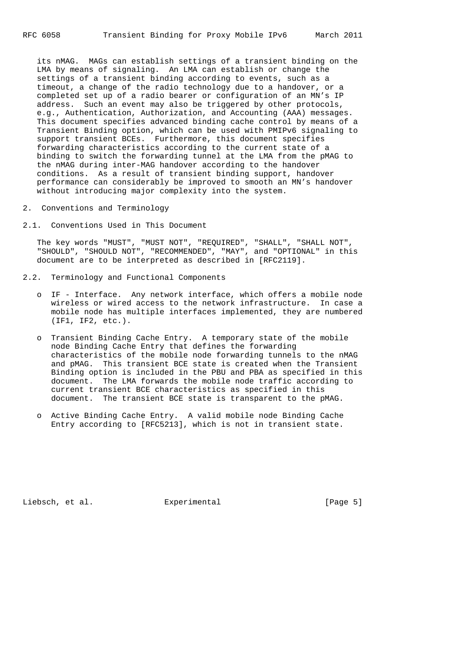its nMAG. MAGs can establish settings of a transient binding on the LMA by means of signaling. An LMA can establish or change the settings of a transient binding according to events, such as a timeout, a change of the radio technology due to a handover, or a completed set up of a radio bearer or configuration of an MN's IP address. Such an event may also be triggered by other protocols, e.g., Authentication, Authorization, and Accounting (AAA) messages. This document specifies advanced binding cache control by means of a Transient Binding option, which can be used with PMIPv6 signaling to support transient BCEs. Furthermore, this document specifies forwarding characteristics according to the current state of a binding to switch the forwarding tunnel at the LMA from the pMAG to the nMAG during inter-MAG handover according to the handover conditions. As a result of transient binding support, handover performance can considerably be improved to smooth an MN's handover without introducing major complexity into the system.

- 2. Conventions and Terminology
- 2.1. Conventions Used in This Document

 The key words "MUST", "MUST NOT", "REQUIRED", "SHALL", "SHALL NOT", "SHOULD", "SHOULD NOT", "RECOMMENDED", "MAY", and "OPTIONAL" in this document are to be interpreted as described in [RFC2119].

- 2.2. Terminology and Functional Components
	- o IF Interface. Any network interface, which offers a mobile node wireless or wired access to the network infrastructure. In case a mobile node has multiple interfaces implemented, they are numbered (IF1, IF2, etc.).
	- o Transient Binding Cache Entry. A temporary state of the mobile node Binding Cache Entry that defines the forwarding characteristics of the mobile node forwarding tunnels to the nMAG and pMAG. This transient BCE state is created when the Transient Binding option is included in the PBU and PBA as specified in this document. The LMA forwards the mobile node traffic according to current transient BCE characteristics as specified in this document. The transient BCE state is transparent to the pMAG.
	- o Active Binding Cache Entry. A valid mobile node Binding Cache Entry according to [RFC5213], which is not in transient state.

Liebsch, et al. Experimental [Page 5]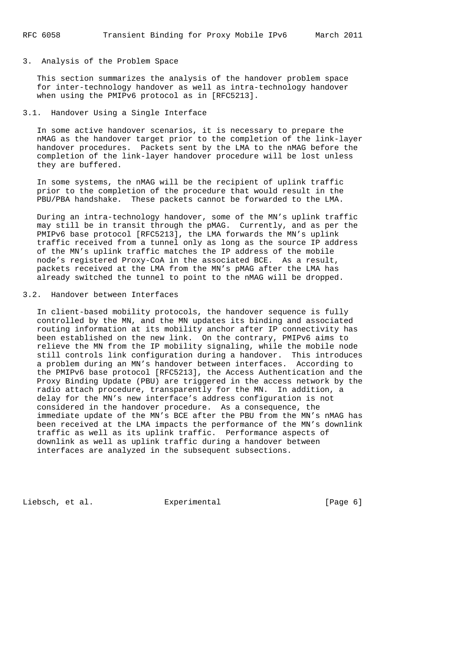#### 3. Analysis of the Problem Space

 This section summarizes the analysis of the handover problem space for inter-technology handover as well as intra-technology handover when using the PMIPv6 protocol as in [RFC5213].

## 3.1. Handover Using a Single Interface

 In some active handover scenarios, it is necessary to prepare the nMAG as the handover target prior to the completion of the link-layer handover procedures. Packets sent by the LMA to the nMAG before the completion of the link-layer handover procedure will be lost unless they are buffered.

 In some systems, the nMAG will be the recipient of uplink traffic prior to the completion of the procedure that would result in the PBU/PBA handshake. These packets cannot be forwarded to the LMA.

 During an intra-technology handover, some of the MN's uplink traffic may still be in transit through the pMAG. Currently, and as per the PMIPv6 base protocol [RFC5213], the LMA forwards the MN's uplink traffic received from a tunnel only as long as the source IP address of the MN's uplink traffic matches the IP address of the mobile node's registered Proxy-CoA in the associated BCE. As a result, packets received at the LMA from the MN's pMAG after the LMA has already switched the tunnel to point to the nMAG will be dropped.

# 3.2. Handover between Interfaces

 In client-based mobility protocols, the handover sequence is fully controlled by the MN, and the MN updates its binding and associated routing information at its mobility anchor after IP connectivity has been established on the new link. On the contrary, PMIPv6 aims to relieve the MN from the IP mobility signaling, while the mobile node still controls link configuration during a handover. This introduces a problem during an MN's handover between interfaces. According to the PMIPv6 base protocol [RFC5213], the Access Authentication and the Proxy Binding Update (PBU) are triggered in the access network by the radio attach procedure, transparently for the MN. In addition, a delay for the MN's new interface's address configuration is not considered in the handover procedure. As a consequence, the immediate update of the MN's BCE after the PBU from the MN's nMAG has been received at the LMA impacts the performance of the MN's downlink traffic as well as its uplink traffic. Performance aspects of downlink as well as uplink traffic during a handover between interfaces are analyzed in the subsequent subsections.

Liebsch, et al. Experimental [Page 6]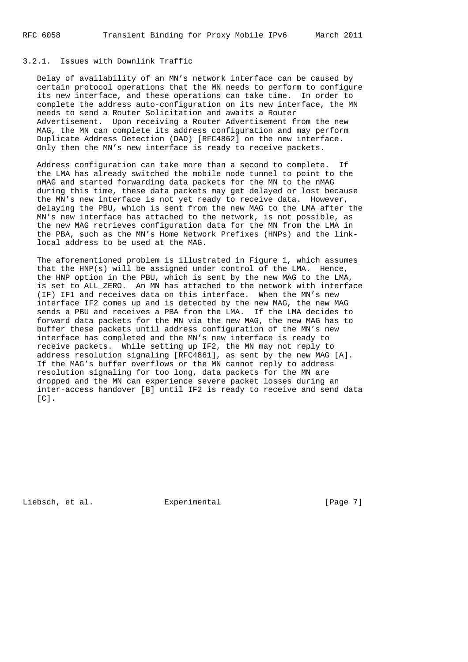# 3.2.1. Issues with Downlink Traffic

 Delay of availability of an MN's network interface can be caused by certain protocol operations that the MN needs to perform to configure its new interface, and these operations can take time. In order to complete the address auto-configuration on its new interface, the MN needs to send a Router Solicitation and awaits a Router Advertisement. Upon receiving a Router Advertisement from the new MAG, the MN can complete its address configuration and may perform Duplicate Address Detection (DAD) [RFC4862] on the new interface. Only then the MN's new interface is ready to receive packets.

 Address configuration can take more than a second to complete. If the LMA has already switched the mobile node tunnel to point to the nMAG and started forwarding data packets for the MN to the nMAG during this time, these data packets may get delayed or lost because the MN's new interface is not yet ready to receive data. However, delaying the PBU, which is sent from the new MAG to the LMA after the MN's new interface has attached to the network, is not possible, as the new MAG retrieves configuration data for the MN from the LMA in the PBA, such as the MN's Home Network Prefixes (HNPs) and the link local address to be used at the MAG.

 The aforementioned problem is illustrated in Figure 1, which assumes that the HNP(s) will be assigned under control of the LMA. Hence, the HNP option in the PBU, which is sent by the new MAG to the LMA, is set to ALL\_ZERO. An MN has attached to the network with interface (IF) IF1 and receives data on this interface. When the MN's new interface IF2 comes up and is detected by the new MAG, the new MAG sends a PBU and receives a PBA from the LMA. If the LMA decides to forward data packets for the MN via the new MAG, the new MAG has to buffer these packets until address configuration of the MN's new interface has completed and the MN's new interface is ready to receive packets. While setting up IF2, the MN may not reply to address resolution signaling [RFC4861], as sent by the new MAG [A]. If the MAG's buffer overflows or the MN cannot reply to address resolution signaling for too long, data packets for the MN are dropped and the MN can experience severe packet losses during an inter-access handover [B] until IF2 is ready to receive and send data  $[CI.$ 

Liebsch, et al. Experimental [Page 7]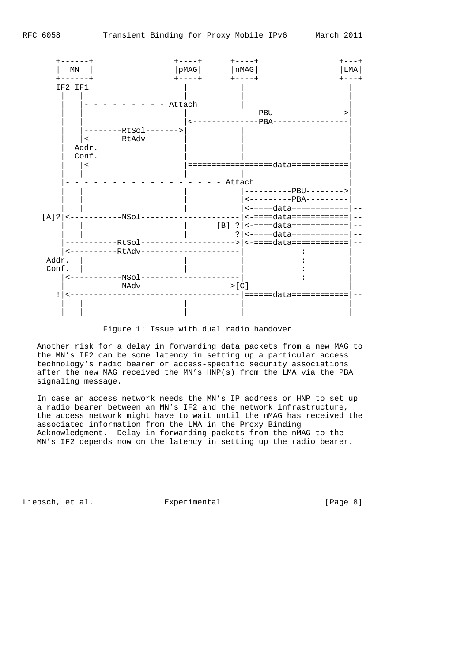

Figure 1: Issue with dual radio handover

 Another risk for a delay in forwarding data packets from a new MAG to the MN's IF2 can be some latency in setting up a particular access technology's radio bearer or access-specific security associations after the new MAG received the MN's HNP(s) from the LMA via the PBA signaling message.

 In case an access network needs the MN's IP address or HNP to set up a radio bearer between an MN's IF2 and the network infrastructure, the access network might have to wait until the nMAG has received the associated information from the LMA in the Proxy Binding Acknowledgment. Delay in forwarding packets from the nMAG to the MN's IF2 depends now on the latency in setting up the radio bearer.

Liebsch, et al. Experimental [Page 8]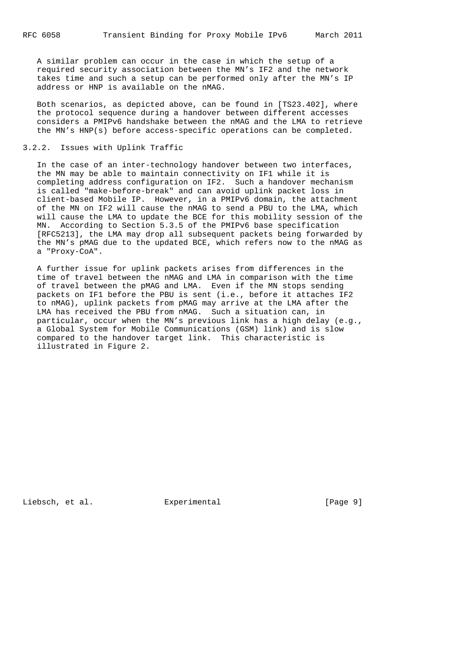A similar problem can occur in the case in which the setup of a required security association between the MN's IF2 and the network takes time and such a setup can be performed only after the MN's IP address or HNP is available on the nMAG.

 Both scenarios, as depicted above, can be found in [TS23.402], where the protocol sequence during a handover between different accesses considers a PMIPv6 handshake between the nMAG and the LMA to retrieve the MN's HNP(s) before access-specific operations can be completed.

#### 3.2.2. Issues with Uplink Traffic

 In the case of an inter-technology handover between two interfaces, the MN may be able to maintain connectivity on IF1 while it is completing address configuration on IF2. Such a handover mechanism is called "make-before-break" and can avoid uplink packet loss in client-based Mobile IP. However, in a PMIPv6 domain, the attachment of the MN on IF2 will cause the nMAG to send a PBU to the LMA, which will cause the LMA to update the BCE for this mobility session of the MN. According to Section 5.3.5 of the PMIPv6 base specification [RFC5213], the LMA may drop all subsequent packets being forwarded by the MN's pMAG due to the updated BCE, which refers now to the nMAG as a "Proxy-CoA".

 A further issue for uplink packets arises from differences in the time of travel between the nMAG and LMA in comparison with the time of travel between the pMAG and LMA. Even if the MN stops sending packets on IF1 before the PBU is sent (i.e., before it attaches IF2 to nMAG), uplink packets from pMAG may arrive at the LMA after the LMA has received the PBU from nMAG. Such a situation can, in particular, occur when the MN's previous link has a high delay (e.g., a Global System for Mobile Communications (GSM) link) and is slow compared to the handover target link. This characteristic is illustrated in Figure 2.

Liebsch, et al. Experimental [Page 9]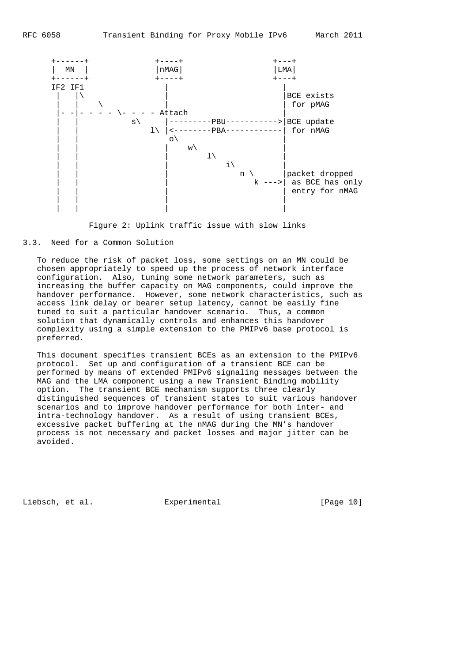



#### 3.3. Need for a Common Solution

 To reduce the risk of packet loss, some settings on an MN could be chosen appropriately to speed up the process of network interface configuration. Also, tuning some network parameters, such as increasing the buffer capacity on MAG components, could improve the handover performance. However, some network characteristics, such as access link delay or bearer setup latency, cannot be easily fine tuned to suit a particular handover scenario. Thus, a common solution that dynamically controls and enhances this handover complexity using a simple extension to the PMIPv6 base protocol is preferred.

 This document specifies transient BCEs as an extension to the PMIPv6 protocol. Set up and configuration of a transient BCE can be performed by means of extended PMIPv6 signaling messages between the MAG and the LMA component using a new Transient Binding mobility option. The transient BCE mechanism supports three clearly distinguished sequences of transient states to suit various handover scenarios and to improve handover performance for both inter- and intra-technology handover. As a result of using transient BCEs, excessive packet buffering at the nMAG during the MN's handover process is not necessary and packet losses and major jitter can be avoided.

Liebsch, et al. Experimental [Page 10]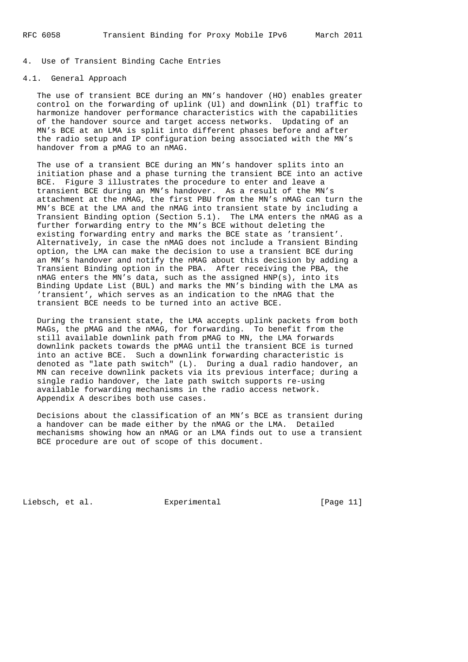# 4. Use of Transient Binding Cache Entries

# 4.1. General Approach

 The use of transient BCE during an MN's handover (HO) enables greater control on the forwarding of uplink (Ul) and downlink (Dl) traffic to harmonize handover performance characteristics with the capabilities of the handover source and target access networks. Updating of an MN's BCE at an LMA is split into different phases before and after the radio setup and IP configuration being associated with the MN's handover from a pMAG to an nMAG.

 The use of a transient BCE during an MN's handover splits into an initiation phase and a phase turning the transient BCE into an active BCE. Figure 3 illustrates the procedure to enter and leave a transient BCE during an MN's handover. As a result of the MN's attachment at the nMAG, the first PBU from the MN's nMAG can turn the MN's BCE at the LMA and the nMAG into transient state by including a Transient Binding option (Section 5.1). The LMA enters the nMAG as a further forwarding entry to the MN's BCE without deleting the existing forwarding entry and marks the BCE state as 'transient'. Alternatively, in case the nMAG does not include a Transient Binding option, the LMA can make the decision to use a transient BCE during an MN's handover and notify the nMAG about this decision by adding a Transient Binding option in the PBA. After receiving the PBA, the nMAG enters the MN's data, such as the assigned  $HNP(s)$ , into its Binding Update List (BUL) and marks the MN's binding with the LMA as 'transient', which serves as an indication to the nMAG that the transient BCE needs to be turned into an active BCE.

 During the transient state, the LMA accepts uplink packets from both MAGs, the pMAG and the nMAG, for forwarding. To benefit from the still available downlink path from pMAG to MN, the LMA forwards downlink packets towards the pMAG until the transient BCE is turned into an active BCE. Such a downlink forwarding characteristic is denoted as "late path switch" (L). During a dual radio handover, an MN can receive downlink packets via its previous interface; during a single radio handover, the late path switch supports re-using available forwarding mechanisms in the radio access network. Appendix A describes both use cases.

 Decisions about the classification of an MN's BCE as transient during a handover can be made either by the nMAG or the LMA. Detailed mechanisms showing how an nMAG or an LMA finds out to use a transient BCE procedure are out of scope of this document.

Liebsch, et al. Experimental [Page 11]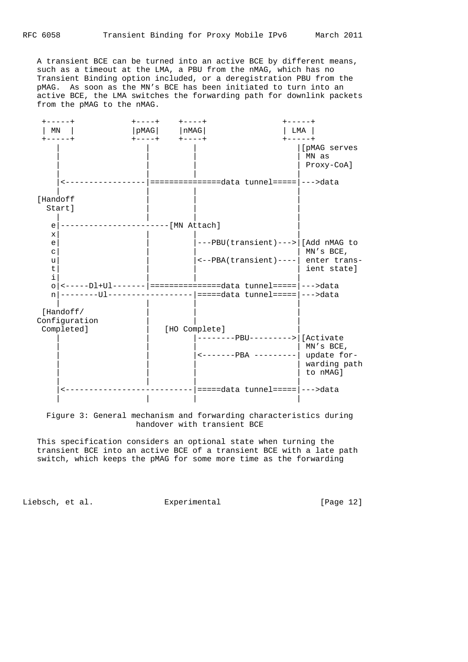RFC 6058 Transient Binding for Proxy Mobile IPv6 March 2011

 A transient BCE can be turned into an active BCE by different means, such as a timeout at the LMA, a PBU from the nMAG, which has no Transient Binding option included, or a deregistration PBU from the pMAG. As soon as the MN's BCE has been initiated to turn into an active BCE, the LMA switches the forwarding path for downlink packets from the pMAG to the nMAG.



 Figure 3: General mechanism and forwarding characteristics during handover with transient BCE

 This specification considers an optional state when turning the transient BCE into an active BCE of a transient BCE with a late path switch, which keeps the pMAG for some more time as the forwarding

Liebsch, et al. Experimental [Page 12]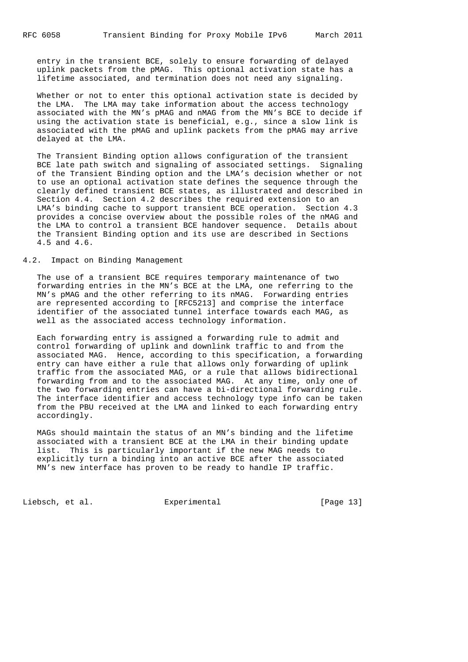entry in the transient BCE, solely to ensure forwarding of delayed uplink packets from the pMAG. This optional activation state has a lifetime associated, and termination does not need any signaling.

 Whether or not to enter this optional activation state is decided by the LMA. The LMA may take information about the access technology associated with the MN's pMAG and nMAG from the MN's BCE to decide if using the activation state is beneficial, e.g., since a slow link is associated with the pMAG and uplink packets from the pMAG may arrive delayed at the LMA.

 The Transient Binding option allows configuration of the transient BCE late path switch and signaling of associated settings. Signaling of the Transient Binding option and the LMA's decision whether or not to use an optional activation state defines the sequence through the clearly defined transient BCE states, as illustrated and described in Section 4.4. Section 4.2 describes the required extension to an LMA's binding cache to support transient BCE operation. Section 4.3 provides a concise overview about the possible roles of the nMAG and the LMA to control a transient BCE handover sequence. Details about the Transient Binding option and its use are described in Sections 4.5 and 4.6.

# 4.2. Impact on Binding Management

 The use of a transient BCE requires temporary maintenance of two forwarding entries in the MN's BCE at the LMA, one referring to the MN's pMAG and the other referring to its nMAG. Forwarding entries are represented according to [RFC5213] and comprise the interface identifier of the associated tunnel interface towards each MAG, as well as the associated access technology information.

 Each forwarding entry is assigned a forwarding rule to admit and control forwarding of uplink and downlink traffic to and from the associated MAG. Hence, according to this specification, a forwarding entry can have either a rule that allows only forwarding of uplink traffic from the associated MAG, or a rule that allows bidirectional forwarding from and to the associated MAG. At any time, only one of the two forwarding entries can have a bi-directional forwarding rule. The interface identifier and access technology type info can be taken from the PBU received at the LMA and linked to each forwarding entry accordingly.

 MAGs should maintain the status of an MN's binding and the lifetime associated with a transient BCE at the LMA in their binding update list. This is particularly important if the new MAG needs to explicitly turn a binding into an active BCE after the associated MN's new interface has proven to be ready to handle IP traffic.

Liebsch, et al. Experimental [Page 13]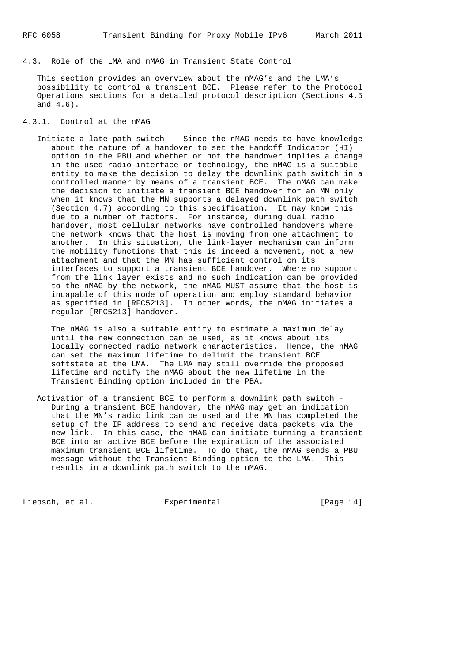4.3. Role of the LMA and nMAG in Transient State Control

 This section provides an overview about the nMAG's and the LMA's possibility to control a transient BCE. Please refer to the Protocol Operations sections for a detailed protocol description (Sections 4.5 and 4.6).

- 4.3.1. Control at the nMAG
	- Initiate a late path switch Since the nMAG needs to have knowledge about the nature of a handover to set the Handoff Indicator (HI) option in the PBU and whether or not the handover implies a change in the used radio interface or technology, the nMAG is a suitable entity to make the decision to delay the downlink path switch in a controlled manner by means of a transient BCE. The nMAG can make the decision to initiate a transient BCE handover for an MN only when it knows that the MN supports a delayed downlink path switch (Section 4.7) according to this specification. It may know this due to a number of factors. For instance, during dual radio handover, most cellular networks have controlled handovers where the network knows that the host is moving from one attachment to another. In this situation, the link-layer mechanism can inform the mobility functions that this is indeed a movement, not a new attachment and that the MN has sufficient control on its interfaces to support a transient BCE handover. Where no support from the link layer exists and no such indication can be provided to the nMAG by the network, the nMAG MUST assume that the host is incapable of this mode of operation and employ standard behavior as specified in [RFC5213]. In other words, the nMAG initiates a regular [RFC5213] handover.

 The nMAG is also a suitable entity to estimate a maximum delay until the new connection can be used, as it knows about its locally connected radio network characteristics. Hence, the nMAG can set the maximum lifetime to delimit the transient BCE softstate at the LMA. The LMA may still override the proposed lifetime and notify the nMAG about the new lifetime in the Transient Binding option included in the PBA.

 Activation of a transient BCE to perform a downlink path switch - During a transient BCE handover, the nMAG may get an indication that the MN's radio link can be used and the MN has completed the setup of the IP address to send and receive data packets via the new link. In this case, the nMAG can initiate turning a transient BCE into an active BCE before the expiration of the associated maximum transient BCE lifetime. To do that, the nMAG sends a PBU message without the Transient Binding option to the LMA. This results in a downlink path switch to the nMAG.

Liebsch, et al. Experimental [Page 14]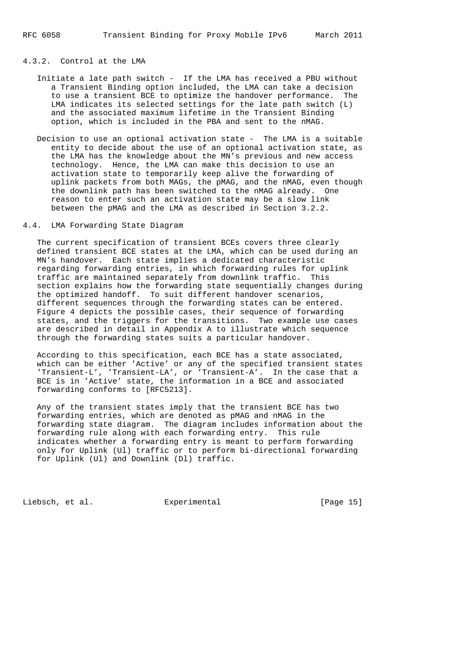## 4.3.2. Control at the LMA

- Initiate a late path switch If the LMA has received a PBU without a Transient Binding option included, the LMA can take a decision to use a transient BCE to optimize the handover performance. The LMA indicates its selected settings for the late path switch (L) and the associated maximum lifetime in the Transient Binding option, which is included in the PBA and sent to the nMAG.
- Decision to use an optional activation state The LMA is a suitable entity to decide about the use of an optional activation state, as the LMA has the knowledge about the MN's previous and new access technology. Hence, the LMA can make this decision to use an activation state to temporarily keep alive the forwarding of uplink packets from both MAGs, the pMAG, and the nMAG, even though the downlink path has been switched to the nMAG already. One reason to enter such an activation state may be a slow link between the pMAG and the LMA as described in Section 3.2.2.

# 4.4. LMA Forwarding State Diagram

 The current specification of transient BCEs covers three clearly defined transient BCE states at the LMA, which can be used during an MN's handover. Each state implies a dedicated characteristic regarding forwarding entries, in which forwarding rules for uplink traffic are maintained separately from downlink traffic. This section explains how the forwarding state sequentially changes during the optimized handoff. To suit different handover scenarios, different sequences through the forwarding states can be entered. Figure 4 depicts the possible cases, their sequence of forwarding states, and the triggers for the transitions. Two example use cases are described in detail in Appendix A to illustrate which sequence through the forwarding states suits a particular handover.

 According to this specification, each BCE has a state associated, which can be either 'Active' or any of the specified transient states 'Transient-L', 'Transient-LA', or 'Transient-A'. In the case that a BCE is in 'Active' state, the information in a BCE and associated forwarding conforms to [RFC5213].

 Any of the transient states imply that the transient BCE has two forwarding entries, which are denoted as pMAG and nMAG in the forwarding state diagram. The diagram includes information about the forwarding rule along with each forwarding entry. This rule indicates whether a forwarding entry is meant to perform forwarding only for Uplink (Ul) traffic or to perform bi-directional forwarding for Uplink (Ul) and Downlink (Dl) traffic.

Liebsch, et al. Experimental [Page 15]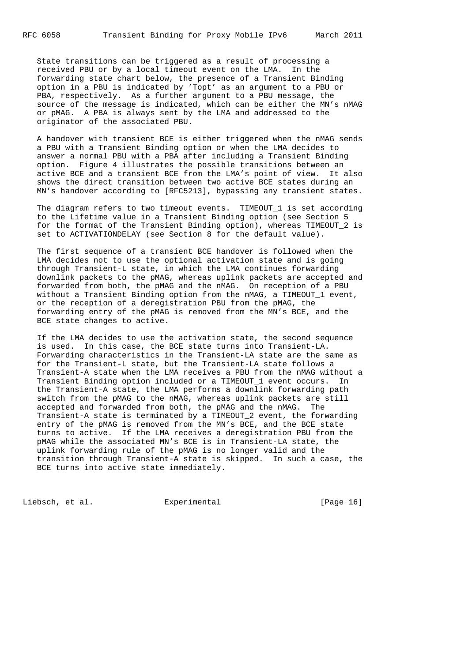State transitions can be triggered as a result of processing a received PBU or by a local timeout event on the LMA. In the forwarding state chart below, the presence of a Transient Binding option in a PBU is indicated by 'Topt' as an argument to a PBU or PBA, respectively. As a further argument to a PBU message, the source of the message is indicated, which can be either the MN's nMAG or pMAG. A PBA is always sent by the LMA and addressed to the originator of the associated PBU.

 A handover with transient BCE is either triggered when the nMAG sends a PBU with a Transient Binding option or when the LMA decides to answer a normal PBU with a PBA after including a Transient Binding option. Figure 4 illustrates the possible transitions between an active BCE and a transient BCE from the LMA's point of view. It also shows the direct transition between two active BCE states during an MN's handover according to [RFC5213], bypassing any transient states.

 The diagram refers to two timeout events. TIMEOUT\_1 is set according to the Lifetime value in a Transient Binding option (see Section 5 for the format of the Transient Binding option), whereas TIMEOUT\_2 is set to ACTIVATIONDELAY (see Section 8 for the default value).

 The first sequence of a transient BCE handover is followed when the LMA decides not to use the optional activation state and is going through Transient-L state, in which the LMA continues forwarding downlink packets to the pMAG, whereas uplink packets are accepted and forwarded from both, the pMAG and the nMAG. On reception of a PBU without a Transient Binding option from the nMAG, a TIMEOUT\_1 event, or the reception of a deregistration PBU from the pMAG, the forwarding entry of the pMAG is removed from the MN's BCE, and the BCE state changes to active.

 If the LMA decides to use the activation state, the second sequence is used. In this case, the BCE state turns into Transient-LA. Forwarding characteristics in the Transient-LA state are the same as for the Transient-L state, but the Transient-LA state follows a Transient-A state when the LMA receives a PBU from the nMAG without a Transient Binding option included or a TIMEOUT\_1 event occurs. In the Transient-A state, the LMA performs a downlink forwarding path switch from the pMAG to the nMAG, whereas uplink packets are still accepted and forwarded from both, the pMAG and the nMAG. The Transient-A state is terminated by a TIMEOUT\_2 event, the forwarding entry of the pMAG is removed from the MN's BCE, and the BCE state turns to active. If the LMA receives a deregistration PBU from the pMAG while the associated MN's BCE is in Transient-LA state, the uplink forwarding rule of the pMAG is no longer valid and the transition through Transient-A state is skipped. In such a case, the BCE turns into active state immediately.

Liebsch, et al. Experimental [Page 16]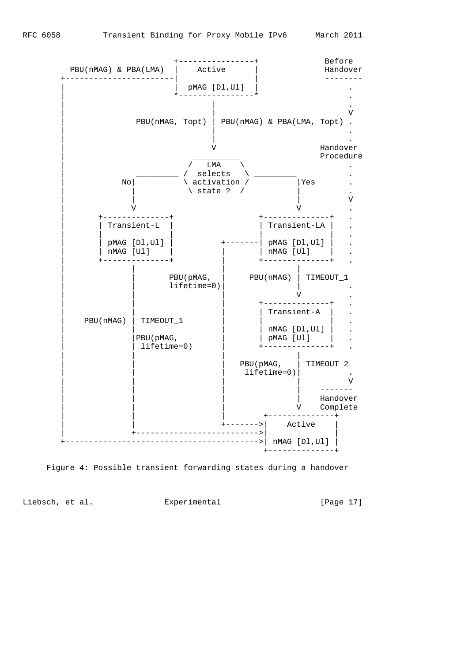



Liebsch, et al. Experimental [Page 17]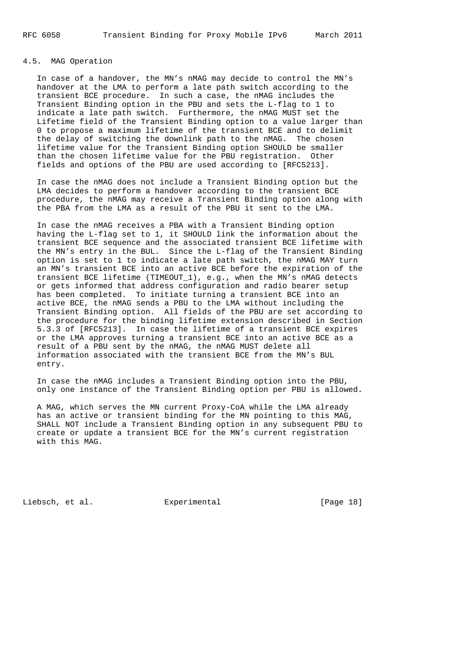## 4.5. MAG Operation

 In case of a handover, the MN's nMAG may decide to control the MN's handover at the LMA to perform a late path switch according to the transient BCE procedure. In such a case, the nMAG includes the Transient Binding option in the PBU and sets the L-flag to 1 to indicate a late path switch. Furthermore, the nMAG MUST set the Lifetime field of the Transient Binding option to a value larger than 0 to propose a maximum lifetime of the transient BCE and to delimit the delay of switching the downlink path to the nMAG. The chosen lifetime value for the Transient Binding option SHOULD be smaller than the chosen lifetime value for the PBU registration. Other fields and options of the PBU are used according to [RFC5213].

 In case the nMAG does not include a Transient Binding option but the LMA decides to perform a handover according to the transient BCE procedure, the nMAG may receive a Transient Binding option along with the PBA from the LMA as a result of the PBU it sent to the LMA.

 In case the nMAG receives a PBA with a Transient Binding option having the L-flag set to 1, it SHOULD link the information about the transient BCE sequence and the associated transient BCE lifetime with the MN's entry in the BUL. Since the L-flag of the Transient Binding option is set to 1 to indicate a late path switch, the nMAG MAY turn an MN's transient BCE into an active BCE before the expiration of the transient BCE lifetime (TIMEOUT\_1), e.g., when the MN's nMAG detects or gets informed that address configuration and radio bearer setup has been completed. To initiate turning a transient BCE into an active BCE, the nMAG sends a PBU to the LMA without including the Transient Binding option. All fields of the PBU are set according to the procedure for the binding lifetime extension described in Section 5.3.3 of [RFC5213]. In case the lifetime of a transient BCE expires or the LMA approves turning a transient BCE into an active BCE as a result of a PBU sent by the nMAG, the nMAG MUST delete all information associated with the transient BCE from the MN's BUL entry.

 In case the nMAG includes a Transient Binding option into the PBU, only one instance of the Transient Binding option per PBU is allowed.

 A MAG, which serves the MN current Proxy-CoA while the LMA already has an active or transient binding for the MN pointing to this MAG, SHALL NOT include a Transient Binding option in any subsequent PBU to create or update a transient BCE for the MN's current registration with this MAG.

Liebsch, et al. Experimental [Page 18]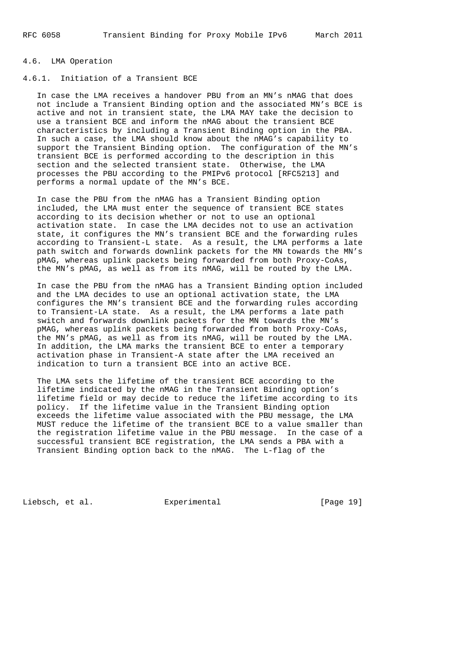#### 4.6. LMA Operation

# 4.6.1. Initiation of a Transient BCE

 In case the LMA receives a handover PBU from an MN's nMAG that does not include a Transient Binding option and the associated MN's BCE is active and not in transient state, the LMA MAY take the decision to use a transient BCE and inform the nMAG about the transient BCE characteristics by including a Transient Binding option in the PBA. In such a case, the LMA should know about the nMAG's capability to support the Transient Binding option. The configuration of the MN's transient BCE is performed according to the description in this section and the selected transient state. Otherwise, the LMA processes the PBU according to the PMIPv6 protocol [RFC5213] and performs a normal update of the MN's BCE.

 In case the PBU from the nMAG has a Transient Binding option included, the LMA must enter the sequence of transient BCE states according to its decision whether or not to use an optional activation state. In case the LMA decides not to use an activation state, it configures the MN's transient BCE and the forwarding rules according to Transient-L state. As a result, the LMA performs a late path switch and forwards downlink packets for the MN towards the MN's pMAG, whereas uplink packets being forwarded from both Proxy-CoAs, the MN's pMAG, as well as from its nMAG, will be routed by the LMA.

 In case the PBU from the nMAG has a Transient Binding option included and the LMA decides to use an optional activation state, the LMA configures the MN's transient BCE and the forwarding rules according to Transient-LA state. As a result, the LMA performs a late path switch and forwards downlink packets for the MN towards the MN's pMAG, whereas uplink packets being forwarded from both Proxy-CoAs, the MN's pMAG, as well as from its nMAG, will be routed by the LMA. In addition, the LMA marks the transient BCE to enter a temporary activation phase in Transient-A state after the LMA received an indication to turn a transient BCE into an active BCE.

 The LMA sets the lifetime of the transient BCE according to the lifetime indicated by the nMAG in the Transient Binding option's lifetime field or may decide to reduce the lifetime according to its policy. If the lifetime value in the Transient Binding option exceeds the lifetime value associated with the PBU message, the LMA MUST reduce the lifetime of the transient BCE to a value smaller than the registration lifetime value in the PBU message. In the case of a successful transient BCE registration, the LMA sends a PBA with a Transient Binding option back to the nMAG. The L-flag of the

Liebsch, et al. Experimental [Page 19]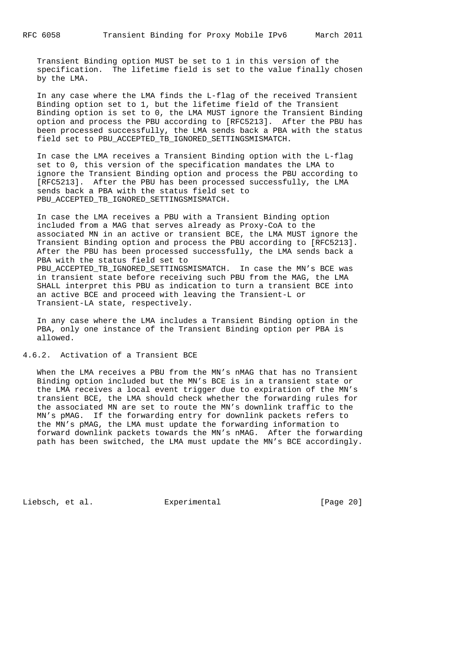Transient Binding option MUST be set to 1 in this version of the specification. The lifetime field is set to the value finally chosen by the LMA.

 In any case where the LMA finds the L-flag of the received Transient Binding option set to 1, but the lifetime field of the Transient Binding option is set to 0, the LMA MUST ignore the Transient Binding option and process the PBU according to [RFC5213]. After the PBU has been processed successfully, the LMA sends back a PBA with the status field set to PBU\_ACCEPTED\_TB\_IGNORED\_SETTINGSMISMATCH.

 In case the LMA receives a Transient Binding option with the L-flag set to 0, this version of the specification mandates the LMA to ignore the Transient Binding option and process the PBU according to [RFC5213]. After the PBU has been processed successfully, the LMA sends back a PBA with the status field set to PBU\_ACCEPTED\_TB\_IGNORED\_SETTINGSMISMATCH.

 In case the LMA receives a PBU with a Transient Binding option included from a MAG that serves already as Proxy-CoA to the associated MN in an active or transient BCE, the LMA MUST ignore the Transient Binding option and process the PBU according to [RFC5213]. After the PBU has been processed successfully, the LMA sends back a PBA with the status field set to PBU\_ACCEPTED\_TB\_IGNORED\_SETTINGSMISMATCH. In case the MN's BCE was in transient state before receiving such PBU from the MAG, the LMA SHALL interpret this PBU as indication to turn a transient BCE into an active BCE and proceed with leaving the Transient-L or Transient-LA state, respectively.

 In any case where the LMA includes a Transient Binding option in the PBA, only one instance of the Transient Binding option per PBA is allowed.

4.6.2. Activation of a Transient BCE

 When the LMA receives a PBU from the MN's nMAG that has no Transient Binding option included but the MN's BCE is in a transient state or the LMA receives a local event trigger due to expiration of the MN's transient BCE, the LMA should check whether the forwarding rules for the associated MN are set to route the MN's downlink traffic to the MN's pMAG. If the forwarding entry for downlink packets refers to the MN's pMAG, the LMA must update the forwarding information to forward downlink packets towards the MN's nMAG. After the forwarding path has been switched, the LMA must update the MN's BCE accordingly.

Liebsch, et al. Experimental [Page 20]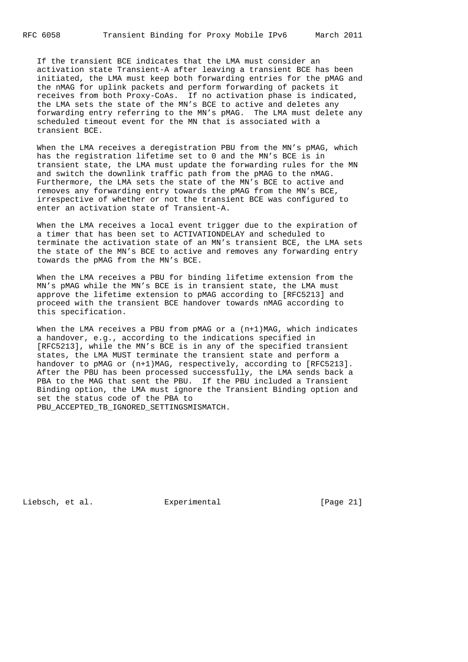If the transient BCE indicates that the LMA must consider an activation state Transient-A after leaving a transient BCE has been initiated, the LMA must keep both forwarding entries for the pMAG and the nMAG for uplink packets and perform forwarding of packets it receives from both Proxy-CoAs. If no activation phase is indicated, the LMA sets the state of the MN's BCE to active and deletes any forwarding entry referring to the MN's pMAG. The LMA must delete any scheduled timeout event for the MN that is associated with a transient BCE.

 When the LMA receives a deregistration PBU from the MN's pMAG, which has the registration lifetime set to 0 and the MN's BCE is in transient state, the LMA must update the forwarding rules for the MN and switch the downlink traffic path from the pMAG to the nMAG. Furthermore, the LMA sets the state of the MN's BCE to active and removes any forwarding entry towards the pMAG from the MN's BCE, irrespective of whether or not the transient BCE was configured to enter an activation state of Transient-A.

 When the LMA receives a local event trigger due to the expiration of a timer that has been set to ACTIVATIONDELAY and scheduled to terminate the activation state of an MN's transient BCE, the LMA sets the state of the MN's BCE to active and removes any forwarding entry towards the pMAG from the MN's BCE.

 When the LMA receives a PBU for binding lifetime extension from the MN's pMAG while the MN's BCE is in transient state, the LMA must approve the lifetime extension to pMAG according to [RFC5213] and proceed with the transient BCE handover towards nMAG according to this specification.

When the LMA receives a PBU from pMAG or a  $(n+1)$  MAG, which indicates a handover, e.g., according to the indications specified in [RFC5213], while the MN's BCE is in any of the specified transient states, the LMA MUST terminate the transient state and perform a handover to pMAG or (n+1)MAG, respectively, according to [RFC5213]. After the PBU has been processed successfully, the LMA sends back a PBA to the MAG that sent the PBU. If the PBU included a Transient Binding option, the LMA must ignore the Transient Binding option and set the status code of the PBA to PBU\_ACCEPTED\_TB\_IGNORED\_SETTINGSMISMATCH.

Liebsch, et al. Experimental [Page 21]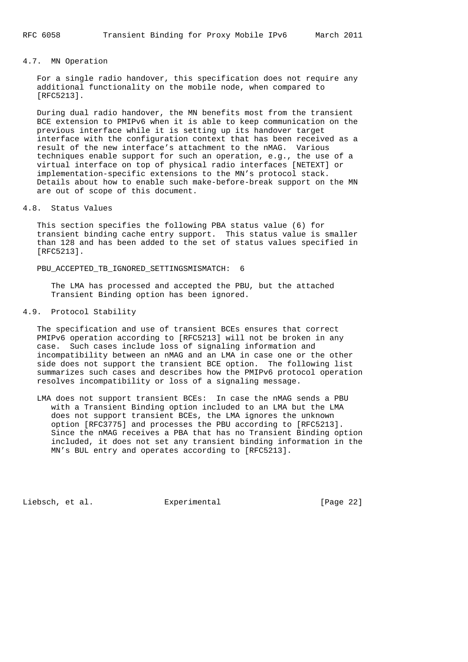## 4.7. MN Operation

 For a single radio handover, this specification does not require any additional functionality on the mobile node, when compared to [RFC5213].

 During dual radio handover, the MN benefits most from the transient BCE extension to PMIPv6 when it is able to keep communication on the previous interface while it is setting up its handover target interface with the configuration context that has been received as a result of the new interface's attachment to the nMAG. Various techniques enable support for such an operation, e.g., the use of a virtual interface on top of physical radio interfaces [NETEXT] or implementation-specific extensions to the MN's protocol stack. Details about how to enable such make-before-break support on the MN are out of scope of this document.

## 4.8. Status Values

 This section specifies the following PBA status value (6) for transient binding cache entry support. This status value is smaller than 128 and has been added to the set of status values specified in [RFC5213].

#### PBU\_ACCEPTED\_TB\_IGNORED\_SETTINGSMISMATCH: 6

 The LMA has processed and accepted the PBU, but the attached Transient Binding option has been ignored.

## 4.9. Protocol Stability

 The specification and use of transient BCEs ensures that correct PMIPv6 operation according to [RFC5213] will not be broken in any case. Such cases include loss of signaling information and incompatibility between an nMAG and an LMA in case one or the other side does not support the transient BCE option. The following list summarizes such cases and describes how the PMIPv6 protocol operation resolves incompatibility or loss of a signaling message.

 LMA does not support transient BCEs: In case the nMAG sends a PBU with a Transient Binding option included to an LMA but the LMA does not support transient BCEs, the LMA ignores the unknown option [RFC3775] and processes the PBU according to [RFC5213]. Since the nMAG receives a PBA that has no Transient Binding option included, it does not set any transient binding information in the MN's BUL entry and operates according to [RFC5213].

Liebsch, et al. Experimental [Page 22]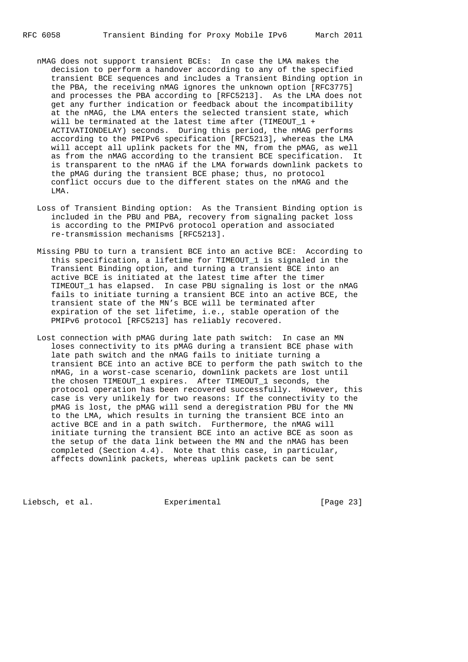- nMAG does not support transient BCEs: In case the LMA makes the decision to perform a handover according to any of the specified transient BCE sequences and includes a Transient Binding option in the PBA, the receiving nMAG ignores the unknown option [RFC3775] and processes the PBA according to [RFC5213]. As the LMA does not get any further indication or feedback about the incompatibility at the nMAG, the LMA enters the selected transient state, which will be terminated at the latest time after (TIMEOUT\_1 + ACTIVATIONDELAY) seconds. During this period, the nMAG performs according to the PMIPv6 specification [RFC5213], whereas the LMA will accept all uplink packets for the MN, from the pMAG, as well as from the nMAG according to the transient BCE specification. It is transparent to the nMAG if the LMA forwards downlink packets to the pMAG during the transient BCE phase; thus, no protocol conflict occurs due to the different states on the nMAG and the LMA.
- Loss of Transient Binding option: As the Transient Binding option is included in the PBU and PBA, recovery from signaling packet loss is according to the PMIPv6 protocol operation and associated re-transmission mechanisms [RFC5213].
- Missing PBU to turn a transient BCE into an active BCE: According to this specification, a lifetime for TIMEOUT\_1 is signaled in the Transient Binding option, and turning a transient BCE into an active BCE is initiated at the latest time after the timer TIMEOUT\_1 has elapsed. In case PBU signaling is lost or the nMAG fails to initiate turning a transient BCE into an active BCE, the transient state of the MN's BCE will be terminated after expiration of the set lifetime, i.e., stable operation of the PMIPv6 protocol [RFC5213] has reliably recovered.
- Lost connection with pMAG during late path switch: In case an MN loses connectivity to its pMAG during a transient BCE phase with late path switch and the nMAG fails to initiate turning a transient BCE into an active BCE to perform the path switch to the nMAG, in a worst-case scenario, downlink packets are lost until the chosen TIMEOUT\_1 expires. After TIMEOUT\_1 seconds, the protocol operation has been recovered successfully. However, this case is very unlikely for two reasons: If the connectivity to the pMAG is lost, the pMAG will send a deregistration PBU for the MN to the LMA, which results in turning the transient BCE into an active BCE and in a path switch. Furthermore, the nMAG will initiate turning the transient BCE into an active BCE as soon as the setup of the data link between the MN and the nMAG has been completed (Section 4.4). Note that this case, in particular, affects downlink packets, whereas uplink packets can be sent

Liebsch, et al. Experimental [Page 23]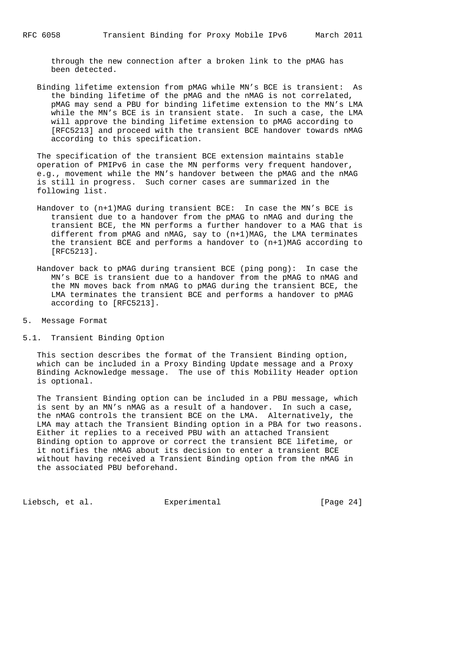through the new connection after a broken link to the pMAG has been detected.

 Binding lifetime extension from pMAG while MN's BCE is transient: As the binding lifetime of the pMAG and the nMAG is not correlated, pMAG may send a PBU for binding lifetime extension to the MN's LMA while the MN's BCE is in transient state. In such a case, the LMA will approve the binding lifetime extension to pMAG according to [RFC5213] and proceed with the transient BCE handover towards nMAG according to this specification.

 The specification of the transient BCE extension maintains stable operation of PMIPv6 in case the MN performs very frequent handover, e.g., movement while the MN's handover between the pMAG and the nMAG is still in progress. Such corner cases are summarized in the following list.

- Handover to (n+1)MAG during transient BCE: In case the MN's BCE is transient due to a handover from the pMAG to nMAG and during the transient BCE, the MN performs a further handover to a MAG that is different from pMAG and nMAG, say to (n+1)MAG, the LMA terminates the transient BCE and performs a handover to (n+1)MAG according to [RFC5213].
- Handover back to pMAG during transient BCE (ping pong): In case the MN's BCE is transient due to a handover from the pMAG to nMAG and the MN moves back from nMAG to pMAG during the transient BCE, the LMA terminates the transient BCE and performs a handover to pMAG according to [RFC5213].
- 5. Message Format
- 5.1. Transient Binding Option

 This section describes the format of the Transient Binding option, which can be included in a Proxy Binding Update message and a Proxy Binding Acknowledge message. The use of this Mobility Header option is optional.

 The Transient Binding option can be included in a PBU message, which is sent by an MN's nMAG as a result of a handover. In such a case, the nMAG controls the transient BCE on the LMA. Alternatively, the LMA may attach the Transient Binding option in a PBA for two reasons. Either it replies to a received PBU with an attached Transient Binding option to approve or correct the transient BCE lifetime, or it notifies the nMAG about its decision to enter a transient BCE without having received a Transient Binding option from the nMAG in the associated PBU beforehand.

Liebsch, et al. Experimental [Page 24]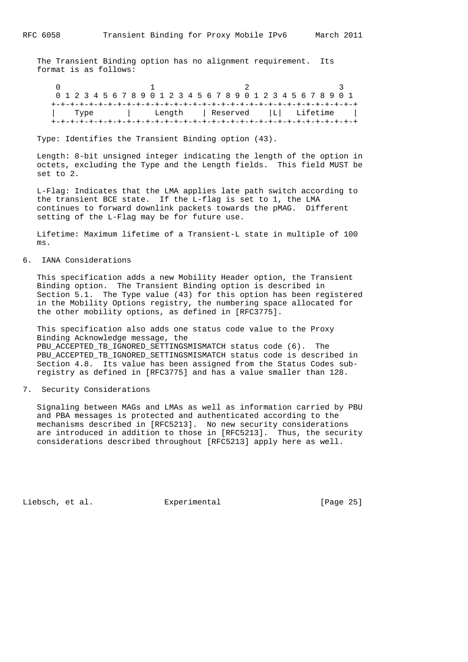The Transient Binding option has no alignment requirement. Its format is as follows:

 $0$  1 2 3 0 1 2 3 4 5 6 7 8 9 0 1 2 3 4 5 6 7 8 9 0 1 2 3 4 5 6 7 8 9 0 1 +-+-+-+-+-+-+-+-+-+-+-+-+-+-+-+-+-+-+-+-+-+-+-+-+-+-+-+-+-+-+-+-+ | Type | Length | Reserved |L| Lifetime | +-+-+-+-+-+-+-+-+-+-+-+-+-+-+-+-+-+-+-+-+-+-+-+-+-+-+-+-+-+-+-+-+

Type: Identifies the Transient Binding option (43).

 Length: 8-bit unsigned integer indicating the length of the option in octets, excluding the Type and the Length fields. This field MUST be set to 2.

 L-Flag: Indicates that the LMA applies late path switch according to the transient BCE state. If the L-flag is set to 1, the LMA continues to forward downlink packets towards the pMAG. Different setting of the L-Flag may be for future use.

 Lifetime: Maximum lifetime of a Transient-L state in multiple of 100 ms.

6. IANA Considerations

 This specification adds a new Mobility Header option, the Transient Binding option. The Transient Binding option is described in Section 5.1. The Type value (43) for this option has been registered in the Mobility Options registry, the numbering space allocated for the other mobility options, as defined in [RFC3775].

 This specification also adds one status code value to the Proxy Binding Acknowledge message, the PBU ACCEPTED TB IGNORED SETTINGSMISMATCH status code (6). The PBU ACCEPTED TB IGNORED SETTINGSMISMATCH status code is described in Section 4.8. Its value has been assigned from the Status Codes sub registry as defined in [RFC3775] and has a value smaller than 128.

7. Security Considerations

 Signaling between MAGs and LMAs as well as information carried by PBU and PBA messages is protected and authenticated according to the mechanisms described in [RFC5213]. No new security considerations are introduced in addition to those in [RFC5213]. Thus, the security considerations described throughout [RFC5213] apply here as well.

Liebsch, et al. Experimental [Page 25]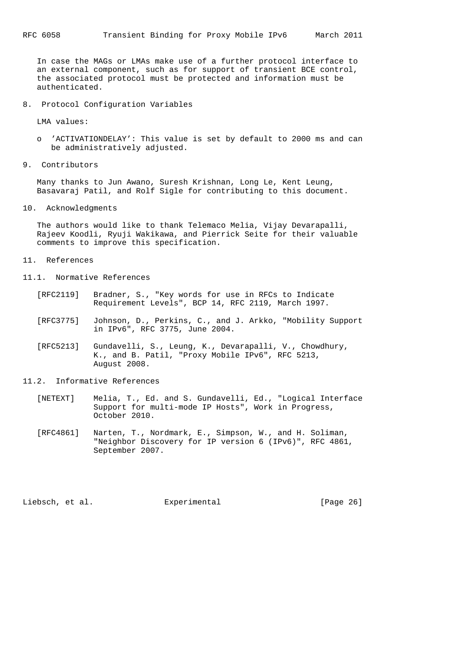In case the MAGs or LMAs make use of a further protocol interface to an external component, such as for support of transient BCE control, the associated protocol must be protected and information must be authenticated.

8. Protocol Configuration Variables

LMA values:

- o 'ACTIVATIONDELAY': This value is set by default to 2000 ms and can be administratively adjusted.
- 9. Contributors

 Many thanks to Jun Awano, Suresh Krishnan, Long Le, Kent Leung, Basavaraj Patil, and Rolf Sigle for contributing to this document.

10. Acknowledgments

 The authors would like to thank Telemaco Melia, Vijay Devarapalli, Rajeev Koodli, Ryuji Wakikawa, and Pierrick Seite for their valuable comments to improve this specification.

- 11. References
- 11.1. Normative References
	- [RFC2119] Bradner, S., "Key words for use in RFCs to Indicate Requirement Levels", BCP 14, RFC 2119, March 1997.
	- [RFC3775] Johnson, D., Perkins, C., and J. Arkko, "Mobility Support in IPv6", RFC 3775, June 2004.
	- [RFC5213] Gundavelli, S., Leung, K., Devarapalli, V., Chowdhury, K., and B. Patil, "Proxy Mobile IPv6", RFC 5213, August 2008.
- 11.2. Informative References
	- [NETEXT] Melia, T., Ed. and S. Gundavelli, Ed., "Logical Interface Support for multi-mode IP Hosts", Work in Progress, October 2010.
	- [RFC4861] Narten, T., Nordmark, E., Simpson, W., and H. Soliman, "Neighbor Discovery for IP version 6 (IPv6)", RFC 4861, September 2007.

Liebsch, et al. Experimental [Page 26]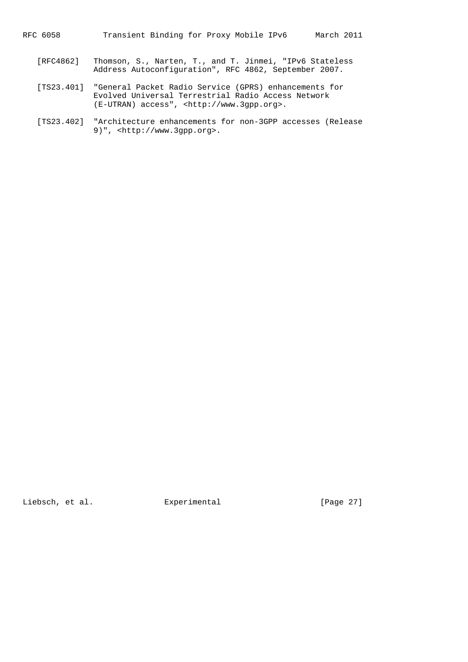RFC 6058 Transient Binding for Proxy Mobile IPv6 March 2011

- [RFC4862] Thomson, S., Narten, T., and T. Jinmei, "IPv6 Stateless Address Autoconfiguration", RFC 4862, September 2007.
- [TS23.401] "General Packet Radio Service (GPRS) enhancements for Evolved Universal Terrestrial Radio Access Network (E-UTRAN) access", <http://www.3gpp.org>.
- [TS23.402] "Architecture enhancements for non-3GPP accesses (Release 9)", <http://www.3gpp.org>.

Liebsch, et al. Experimental [Page 27]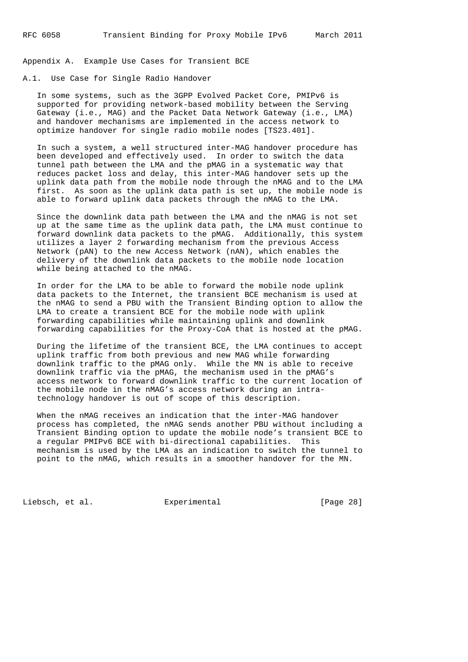Appendix A. Example Use Cases for Transient BCE

# A.1. Use Case for Single Radio Handover

 In some systems, such as the 3GPP Evolved Packet Core, PMIPv6 is supported for providing network-based mobility between the Serving Gateway (i.e., MAG) and the Packet Data Network Gateway (i.e., LMA) and handover mechanisms are implemented in the access network to optimize handover for single radio mobile nodes [TS23.401].

 In such a system, a well structured inter-MAG handover procedure has been developed and effectively used. In order to switch the data tunnel path between the LMA and the pMAG in a systematic way that reduces packet loss and delay, this inter-MAG handover sets up the uplink data path from the mobile node through the nMAG and to the LMA first. As soon as the uplink data path is set up, the mobile node is able to forward uplink data packets through the nMAG to the LMA.

 Since the downlink data path between the LMA and the nMAG is not set up at the same time as the uplink data path, the LMA must continue to forward downlink data packets to the pMAG. Additionally, this system utilizes a layer 2 forwarding mechanism from the previous Access Network (pAN) to the new Access Network (nAN), which enables the delivery of the downlink data packets to the mobile node location while being attached to the nMAG.

 In order for the LMA to be able to forward the mobile node uplink data packets to the Internet, the transient BCE mechanism is used at the nMAG to send a PBU with the Transient Binding option to allow the LMA to create a transient BCE for the mobile node with uplink forwarding capabilities while maintaining uplink and downlink forwarding capabilities for the Proxy-CoA that is hosted at the pMAG.

 During the lifetime of the transient BCE, the LMA continues to accept uplink traffic from both previous and new MAG while forwarding downlink traffic to the pMAG only. While the MN is able to receive downlink traffic via the pMAG, the mechanism used in the pMAG's access network to forward downlink traffic to the current location of the mobile node in the nMAG's access network during an intra technology handover is out of scope of this description.

 When the nMAG receives an indication that the inter-MAG handover process has completed, the nMAG sends another PBU without including a Transient Binding option to update the mobile node's transient BCE to a regular PMIPv6 BCE with bi-directional capabilities. This mechanism is used by the LMA as an indication to switch the tunnel to point to the nMAG, which results in a smoother handover for the MN.

Liebsch, et al. Experimental [Page 28]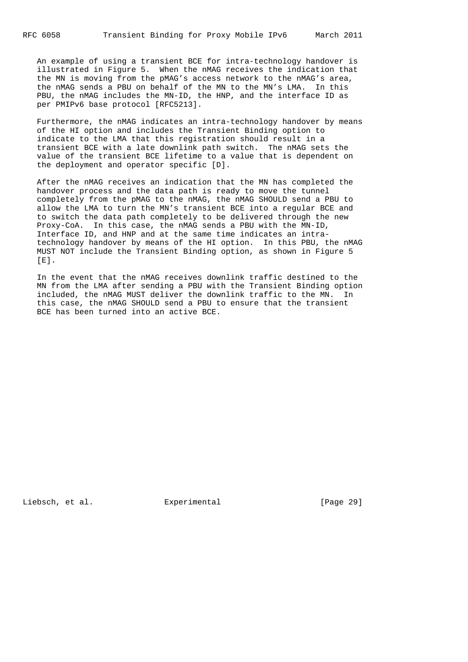An example of using a transient BCE for intra-technology handover is illustrated in Figure 5. When the nMAG receives the indication that the MN is moving from the pMAG's access network to the nMAG's area, the nMAG sends a PBU on behalf of the MN to the MN's LMA. In this PBU, the nMAG includes the MN-ID, the HNP, and the interface ID as per PMIPv6 base protocol [RFC5213].

 Furthermore, the nMAG indicates an intra-technology handover by means of the HI option and includes the Transient Binding option to indicate to the LMA that this registration should result in a transient BCE with a late downlink path switch. The nMAG sets the value of the transient BCE lifetime to a value that is dependent on the deployment and operator specific [D].

 After the nMAG receives an indication that the MN has completed the handover process and the data path is ready to move the tunnel completely from the pMAG to the nMAG, the nMAG SHOULD send a PBU to allow the LMA to turn the MN's transient BCE into a regular BCE and to switch the data path completely to be delivered through the new Proxy-CoA. In this case, the nMAG sends a PBU with the MN-ID, Interface ID, and HNP and at the same time indicates an intra technology handover by means of the HI option. In this PBU, the nMAG MUST NOT include the Transient Binding option, as shown in Figure 5  $[E]$ .

 In the event that the nMAG receives downlink traffic destined to the MN from the LMA after sending a PBU with the Transient Binding option included, the nMAG MUST deliver the downlink traffic to the MN. In this case, the nMAG SHOULD send a PBU to ensure that the transient BCE has been turned into an active BCE.

Liebsch, et al. Experimental [Page 29]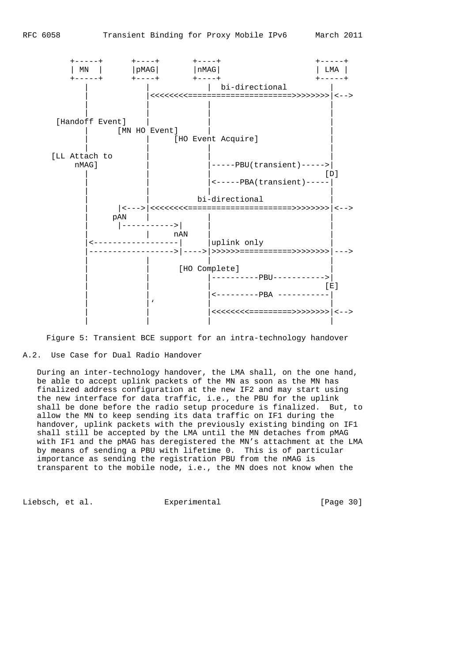



## A.2. Use Case for Dual Radio Handover

 During an inter-technology handover, the LMA shall, on the one hand, be able to accept uplink packets of the MN as soon as the MN has finalized address configuration at the new IF2 and may start using the new interface for data traffic, i.e., the PBU for the uplink shall be done before the radio setup procedure is finalized. But, to allow the MN to keep sending its data traffic on IF1 during the handover, uplink packets with the previously existing binding on IF1 shall still be accepted by the LMA until the MN detaches from pMAG with IF1 and the pMAG has deregistered the MN's attachment at the LMA by means of sending a PBU with lifetime 0. This is of particular importance as sending the registration PBU from the nMAG is transparent to the mobile node, i.e., the MN does not know when the

Liebsch, et al. Experimental [Page 30]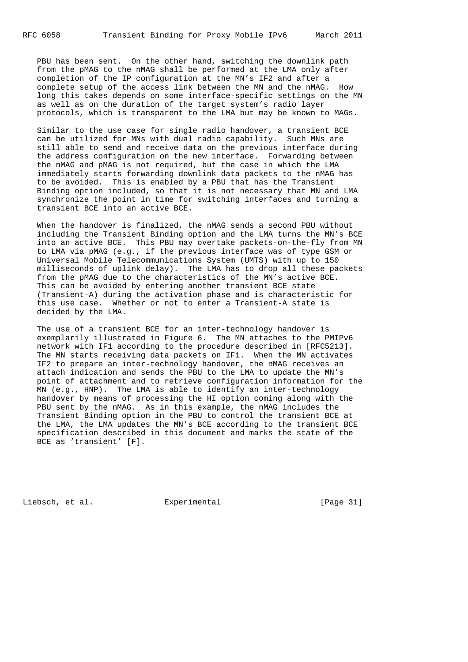PBU has been sent. On the other hand, switching the downlink path from the pMAG to the nMAG shall be performed at the LMA only after completion of the IP configuration at the MN's IF2 and after a complete setup of the access link between the MN and the nMAG. How long this takes depends on some interface-specific settings on the MN as well as on the duration of the target system's radio layer protocols, which is transparent to the LMA but may be known to MAGs.

 Similar to the use case for single radio handover, a transient BCE can be utilized for MNs with dual radio capability. Such MNs are still able to send and receive data on the previous interface during the address configuration on the new interface. Forwarding between the nMAG and pMAG is not required, but the case in which the LMA immediately starts forwarding downlink data packets to the nMAG has to be avoided. This is enabled by a PBU that has the Transient Binding option included, so that it is not necessary that MN and LMA synchronize the point in time for switching interfaces and turning a transient BCE into an active BCE.

 When the handover is finalized, the nMAG sends a second PBU without including the Transient Binding option and the LMA turns the MN's BCE into an active BCE. This PBU may overtake packets-on-the-fly from MN to LMA via pMAG (e.g., if the previous interface was of type GSM or Universal Mobile Telecommunications System (UMTS) with up to 150 milliseconds of uplink delay). The LMA has to drop all these packets from the pMAG due to the characteristics of the MN's active BCE. This can be avoided by entering another transient BCE state (Transient-A) during the activation phase and is characteristic for this use case. Whether or not to enter a Transient-A state is decided by the LMA.

 The use of a transient BCE for an inter-technology handover is exemplarily illustrated in Figure 6. The MN attaches to the PMIPv6 network with IF1 according to the procedure described in [RFC5213]. The MN starts receiving data packets on IF1. When the MN activates IF2 to prepare an inter-technology handover, the nMAG receives an attach indication and sends the PBU to the LMA to update the MN's point of attachment and to retrieve configuration information for the MN (e.g., HNP). The LMA is able to identify an inter-technology handover by means of processing the HI option coming along with the PBU sent by the nMAG. As in this example, the nMAG includes the Transient Binding option in the PBU to control the transient BCE at the LMA, the LMA updates the MN's BCE according to the transient BCE specification described in this document and marks the state of the BCE as 'transient' [F].

Liebsch, et al. Experimental [Page 31]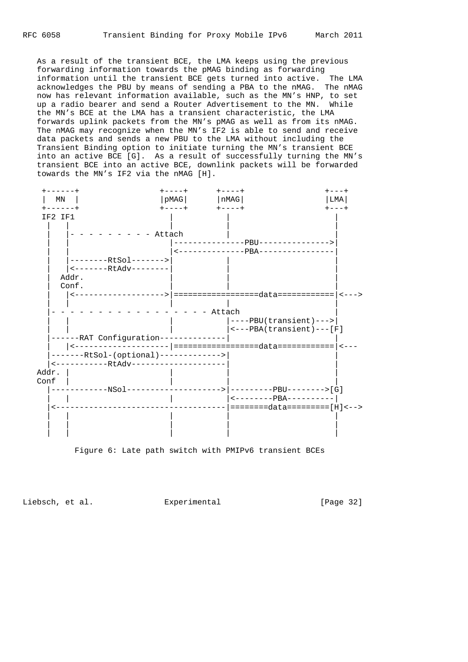As a result of the transient BCE, the LMA keeps using the previous forwarding information towards the pMAG binding as forwarding information until the transient BCE gets turned into active. The LMA acknowledges the PBU by means of sending a PBA to the nMAG. The nMAG now has relevant information available, such as the MN's HNP, to set up a radio bearer and send a Router Advertisement to the MN. While the MN's BCE at the LMA has a transient characteristic, the LMA forwards uplink packets from the MN's pMAG as well as from its nMAG. The nMAG may recognize when the MN's IF2 is able to send and receive data packets and sends a new PBU to the LMA without including the Transient Binding option to initiate turning the MN's transient BCE into an active BCE [G]. As a result of successfully turning the MN's transient BCE into an active BCE, downlink packets will be forwarded towards the MN's IF2 via the nMAG [H].





Liebsch, et al. Experimental [Page 32]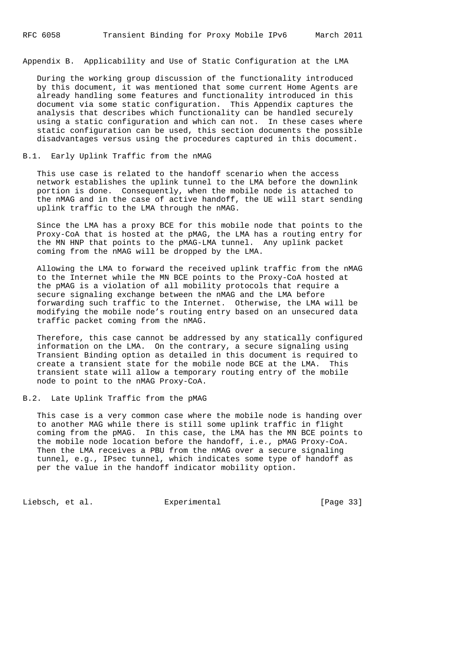Appendix B. Applicability and Use of Static Configuration at the LMA

 During the working group discussion of the functionality introduced by this document, it was mentioned that some current Home Agents are already handling some features and functionality introduced in this document via some static configuration. This Appendix captures the analysis that describes which functionality can be handled securely using a static configuration and which can not. In these cases where static configuration can be used, this section documents the possible disadvantages versus using the procedures captured in this document.

#### B.1. Early Uplink Traffic from the nMAG

 This use case is related to the handoff scenario when the access network establishes the uplink tunnel to the LMA before the downlink portion is done. Consequently, when the mobile node is attached to the nMAG and in the case of active handoff, the UE will start sending uplink traffic to the LMA through the nMAG.

 Since the LMA has a proxy BCE for this mobile node that points to the Proxy-CoA that is hosted at the pMAG, the LMA has a routing entry for the MN HNP that points to the pMAG-LMA tunnel. Any uplink packet coming from the nMAG will be dropped by the LMA.

 Allowing the LMA to forward the received uplink traffic from the nMAG to the Internet while the MN BCE points to the Proxy-CoA hosted at the pMAG is a violation of all mobility protocols that require a secure signaling exchange between the nMAG and the LMA before forwarding such traffic to the Internet. Otherwise, the LMA will be modifying the mobile node's routing entry based on an unsecured data traffic packet coming from the nMAG.

 Therefore, this case cannot be addressed by any statically configured information on the LMA. On the contrary, a secure signaling using Transient Binding option as detailed in this document is required to create a transient state for the mobile node BCE at the LMA. This transient state will allow a temporary routing entry of the mobile node to point to the nMAG Proxy-CoA.

#### B.2. Late Uplink Traffic from the pMAG

 This case is a very common case where the mobile node is handing over to another MAG while there is still some uplink traffic in flight coming from the pMAG. In this case, the LMA has the MN BCE points to the mobile node location before the handoff, i.e., pMAG Proxy-CoA. Then the LMA receives a PBU from the nMAG over a secure signaling tunnel, e.g., IPsec tunnel, which indicates some type of handoff as per the value in the handoff indicator mobility option.

Liebsch, et al. Experimental [Page 33]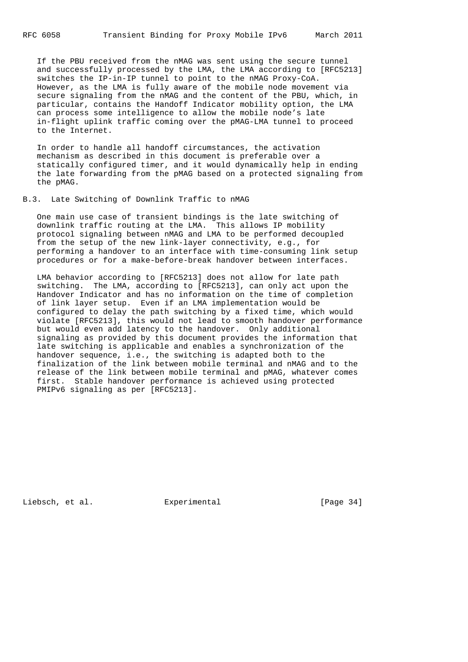If the PBU received from the nMAG was sent using the secure tunnel and successfully processed by the LMA, the LMA according to [RFC5213] switches the IP-in-IP tunnel to point to the nMAG Proxy-CoA. However, as the LMA is fully aware of the mobile node movement via secure signaling from the nMAG and the content of the PBU, which, in particular, contains the Handoff Indicator mobility option, the LMA can process some intelligence to allow the mobile node's late in-flight uplink traffic coming over the pMAG-LMA tunnel to proceed to the Internet.

 In order to handle all handoff circumstances, the activation mechanism as described in this document is preferable over a statically configured timer, and it would dynamically help in ending the late forwarding from the pMAG based on a protected signaling from the pMAG.

#### B.3. Late Switching of Downlink Traffic to nMAG

 One main use case of transient bindings is the late switching of downlink traffic routing at the LMA. This allows IP mobility protocol signaling between nMAG and LMA to be performed decoupled from the setup of the new link-layer connectivity, e.g., for performing a handover to an interface with time-consuming link setup procedures or for a make-before-break handover between interfaces.

 LMA behavior according to [RFC5213] does not allow for late path switching. The LMA, according to [RFC5213], can only act upon the Handover Indicator and has no information on the time of completion of link layer setup. Even if an LMA implementation would be configured to delay the path switching by a fixed time, which would violate [RFC5213], this would not lead to smooth handover performance but would even add latency to the handover. Only additional signaling as provided by this document provides the information that late switching is applicable and enables a synchronization of the handover sequence, i.e., the switching is adapted both to the finalization of the link between mobile terminal and nMAG and to the release of the link between mobile terminal and pMAG, whatever comes first. Stable handover performance is achieved using protected PMIPv6 signaling as per [RFC5213].

Liebsch, et al. Experimental [Page 34]